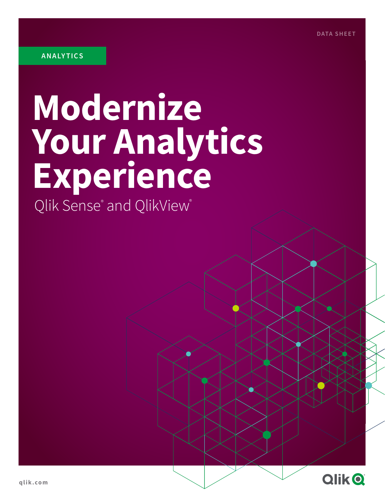# **Modernize Your Analytics Experience**

Qlik Sense® and QlikView®

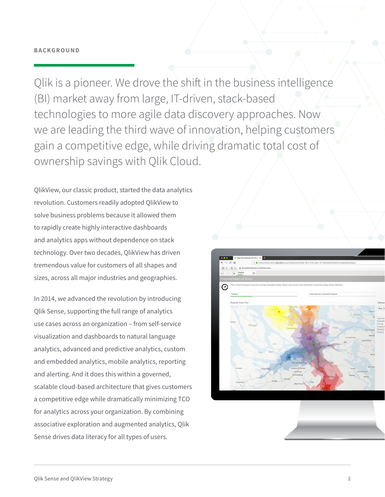#### **BACKGROUND**

Qlik is a pioneer. We drove the shift in the business intelligence (BI) market away from large, IT-driven, stack-based technologies to more agile data discovery approaches. Now we are leading the third wave of innovation, helping customers gain a competitive edge, while driving dramatic total cost of ownership savings with Qlik Cloud.

QlikView, our classic product, started the data analytics revolution. Customers readily adopted QlikView to solve business problems because it allowed them to rapidly create highly interactive dashboards and analytics apps without dependence on stack technology. Over two decades, QlikView has driven tremendous value for customers of all shapes and sizes, across all major industries and geographies.

In 2014, we advanced the revolution by introducing Qlik Sense, supporting the full range of analytics use cases across an organization – from self-service visualization and dashboards to natural language analytics, advanced and predictive analytics, custom and embedded analytics, mobile analytics, reporting and alerting. And it does this within a governed, scalable cloud-based architecture that gives customers a competitive edge while dramatically minimizing TCO for analytics across your organization. By combining associative exploration and augmented analytics, Qlik Sense drives data literacy for all types of users.

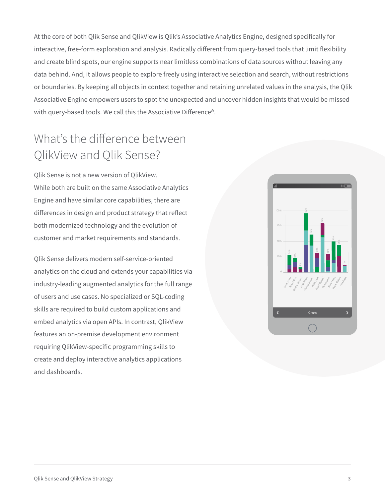At the core of both Qlik Sense and QlikView is Qlik's Associative Analytics Engine, designed specifically for interactive, free-form exploration and analysis. Radically different from query-based tools that limit flexibility and create blind spots, our engine supports near limitless combinations of data sources without leaving any data behind. And, it allows people to explore freely using interactive selection and search, without restrictions or boundaries. By keeping all objects in context together and retaining unrelated values in the analysis, the Qlik Associative Engine empowers users to spot the unexpected and uncover hidden insights that would be missed with query-based tools. We call this the Associative Difference®.

### What's the difference between QlikView and Qlik Sense?

Qlik Sense is not a new version of QlikView. While both are built on the same Associative Analytics Engine and have similar core capabilities, there are differences in design and product strategy that reflect both modernized technology and the evolution of customer and market requirements and standards.

Qlik Sense delivers modern self-service-oriented analytics on the cloud and extends your capabilities via industry-leading augmented analytics for the full range of users and use cases. No specialized or SQL-coding skills are required to build custom applications and embed analytics via open APIs. In contrast, QlikView features an on-premise development environment requiring QlikView-specific programming skills to create and deploy interactive analytics applications and dashboards.

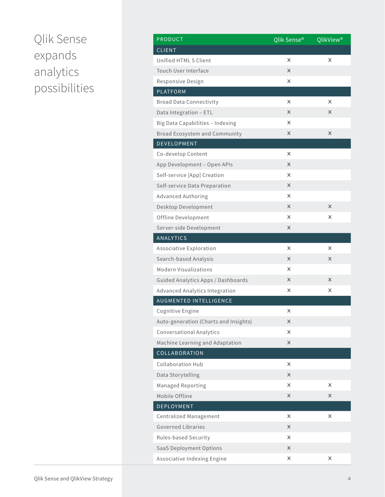## Qlik Sense expands analytics possibilities

| <b>PRODUCT</b>                        | Qlik Sense® | QlikView <sup>®</sup> |
|---------------------------------------|-------------|-----------------------|
| <b>CLIENT</b>                         |             |                       |
| Unified HTML 5 Client                 | X           | X                     |
| Touch User Interface                  | X           |                       |
| Responsive Design                     | x           |                       |
| <b>PLATFORM</b>                       |             |                       |
| <b>Broad Data Connectivity</b>        | X           | X                     |
| Data Integration - ETL                | X           | x                     |
| Big Data Capabilities - Indexing      | x           |                       |
| Broad Ecosystem and Community         | X           | X                     |
| DEVELOPMENT                           |             |                       |
| Co-develop Content                    | x           |                       |
| App Development - Open APIs           | X           |                       |
| Self-service [App] Creation           | X           |                       |
| Self-service Data Preparation         | X           |                       |
| <b>Advanced Authoring</b>             | x           |                       |
| Desktop Development                   | X           | X                     |
| Offline Development                   | x           | x                     |
| Server-side Development               | X           |                       |
| <b>ANALYTICS</b>                      |             |                       |
| Associative Exploration               | x           | x                     |
| Search-based Analysis                 | X           | X                     |
| <b>Modern Visualizations</b>          | x           |                       |
| Guided Analytics Apps / Dashboards    | X           | X                     |
| Advanced Analytics Integration        | x           | x                     |
| AUGMENTED INTELLIGENCE                |             |                       |
| Cognitive Engine                      | x           |                       |
| Auto-generation (Charts and Insights) | X           |                       |
| <b>Conversational Analytics</b>       | x           |                       |
| Machine Learning and Adaptation       | X           |                       |
| COLLABORATION                         |             |                       |
| <b>Collaboration Hub</b>              | X           |                       |
| Data Storytelling                     | X           |                       |
| Managed Reporting                     | x           | x                     |
| Mobile Offline                        | X           | x                     |
| <b>DEPLOYMENT</b>                     |             |                       |
| Centralized Management                | X           | x                     |
| <b>Governed Libraries</b>             | X           |                       |
| Rules-based Security                  | x           |                       |
| SaaS Deployment Options               | X           |                       |
| Associative Indexing Engine           | x           | x                     |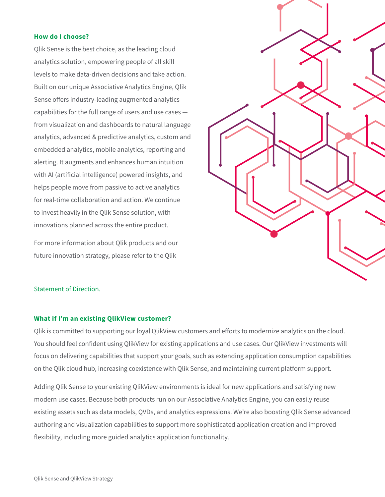#### **How do I choose?**

Qlik Sense is the best choice, as the leading cloud analytics solution, empowering people of all skill levels to make data-driven decisions and take action. Built on our unique Associative Analytics Engine, Qlik Sense offers industry-leading augmented analytics capabilities for the full range of users and use cases from visualization and dashboards to natural language analytics, advanced & predictive analytics, custom and embedded analytics, mobile analytics, reporting and alerting. It augments and enhances human intuition with AI (artificial intelligence) powered insights, and helps people move from passive to active analytics for real-time collaboration and action. We continue to invest heavily in the Qlik Sense solution, with innovations planned across the entire product.

For more information about Qlik products and our future innovation strategy, please refer to the Qlik



#### [Statement of Direction.](https://www.qlik.com/qlik-statement-of-direction)

#### **What if I'm an existing QlikView customer?**

Qlik is committed to supporting our loyal QlikView customers and efforts to modernize analytics on the cloud. You should feel confident using QlikView for existing applications and use cases. Our QlikView investments will focus on delivering capabilities that support your goals, such as extending application consumption capabilities on the Qlik cloud hub, increasing coexistence with Qlik Sense, and maintaining current platform support.

Adding Qlik Sense to your existing QlikView environments is ideal for new applications and satisfying new modern use cases. Because both products run on our Associative Analytics Engine, you can easily reuse existing assets such as data models, QVDs, and analytics expressions. We're also boosting Qlik Sense advanced authoring and visualization capabilities to support more sophisticated application creation and improved flexibility, including more guided analytics application functionality.